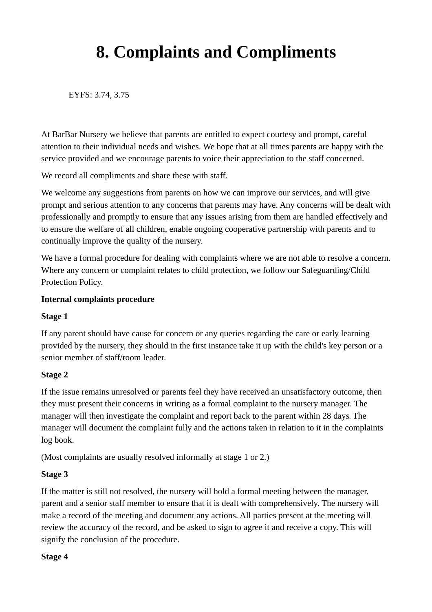# **8. Complaints and Compliments**

EYFS: 3.74, 3.75

At BarBar Nursery we believe that parents are entitled to expect courtesy and prompt, careful attention to their individual needs and wishes. We hope that at all times parents are happy with the service provided and we encourage parents to voice their appreciation to the staff concerned.

We record all compliments and share these with staff.

We welcome any suggestions from parents on how we can improve our services, and will give prompt and serious attention to any concerns that parents may have. Any concerns will be dealt with professionally and promptly to ensure that any issues arising from them are handled effectively and to ensure the welfare of all children, enable ongoing cooperative partnership with parents and to continually improve the quality of the nursery.

We have a formal procedure for dealing with complaints where we are not able to resolve a concern. Where any concern or complaint relates to child protection, we follow our Safeguarding/Child Protection Policy.

#### **Internal complaints procedure**

#### **Stage 1**

If any parent should have cause for concern or any queries regarding the care or early learning provided by the nursery, they should in the first instance take it up with the child's key person or a senior member of staff/room leader.

## **Stage 2**

If the issue remains unresolved or parents feel they have received an unsatisfactory outcome, then they must present their concerns in writing as a formal complaint to the nursery manager. The manager will then investigate the complaint and report back to the parent within 28 days. The manager will document the complaint fully and the actions taken in relation to it in the complaints log book.

(Most complaints are usually resolved informally at stage 1 or 2.)

## **Stage 3**

If the matter is still not resolved, the nursery will hold a formal meeting between the manager, parent and a senior staff member to ensure that it is dealt with comprehensively. The nursery will make a record of the meeting and document any actions. All parties present at the meeting will review the accuracy of the record, and be asked to sign to agree it and receive a copy. This will signify the conclusion of the procedure.

#### **Stage 4**